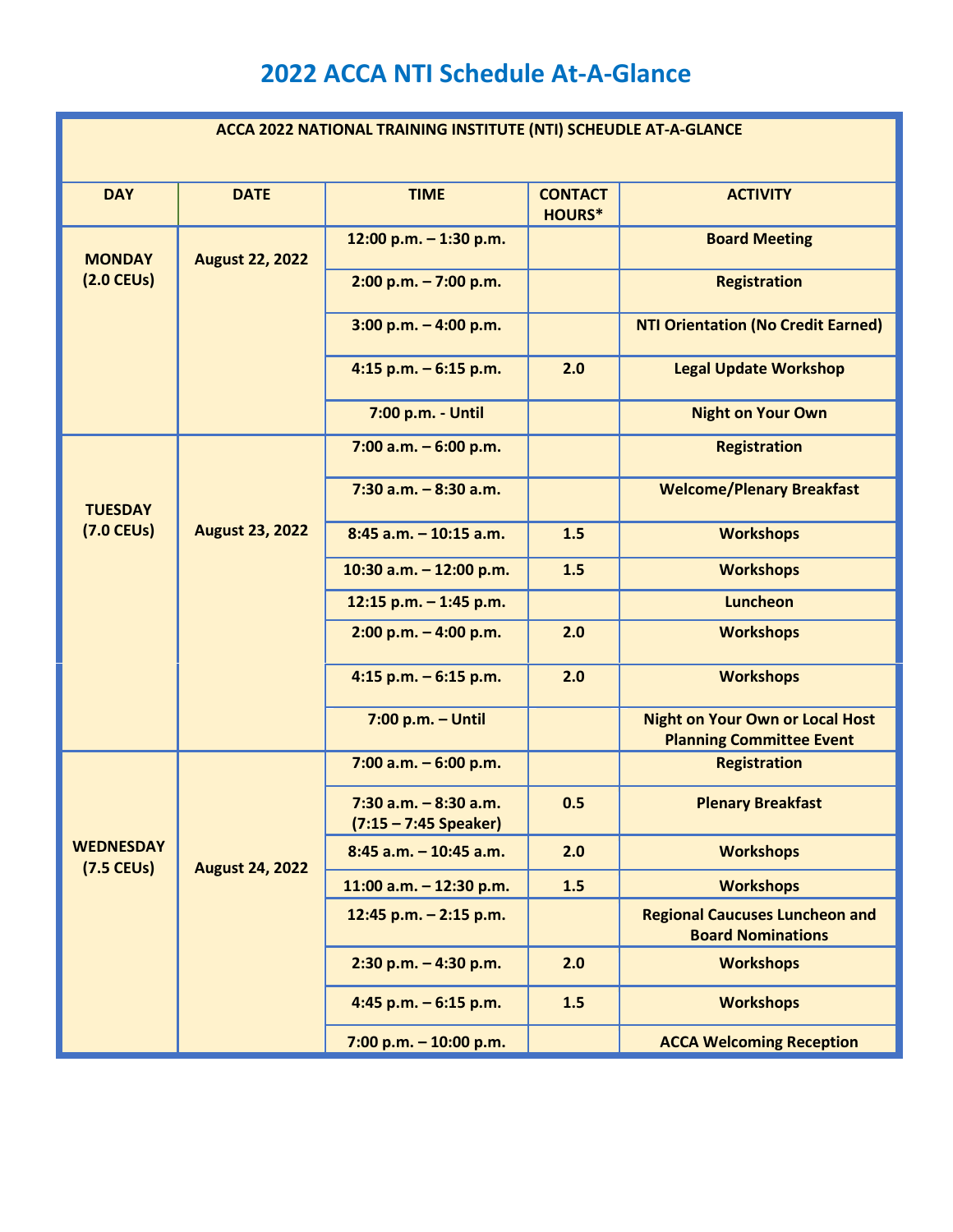## **2022 ACCA NTI Schedule At-A-Glance**

| ACCA 2022 NATIONAL TRAINING INSTITUTE (NTI) SCHEUDLE AT-A-GLANCE |                        |                                                     |                                 |                                                                           |  |  |  |
|------------------------------------------------------------------|------------------------|-----------------------------------------------------|---------------------------------|---------------------------------------------------------------------------|--|--|--|
| <b>DAY</b>                                                       | <b>DATE</b>            | <b>TIME</b>                                         | <b>CONTACT</b><br><b>HOURS*</b> | <b>ACTIVITY</b>                                                           |  |  |  |
| <b>MONDAY</b><br>$(2.0$ CEUs)                                    | <b>August 22, 2022</b> | 12:00 p.m. - 1:30 p.m.                              |                                 | <b>Board Meeting</b>                                                      |  |  |  |
|                                                                  |                        | $2:00$ p.m. $-7:00$ p.m.                            |                                 | <b>Registration</b>                                                       |  |  |  |
|                                                                  |                        | $3:00$ p.m. $-4:00$ p.m.                            |                                 | <b>NTI Orientation (No Credit Earned)</b>                                 |  |  |  |
|                                                                  |                        | 4:15 p.m. $-6:15$ p.m.                              | 2.0                             | <b>Legal Update Workshop</b>                                              |  |  |  |
|                                                                  |                        | 7:00 p.m. - Until                                   |                                 | <b>Night on Your Own</b>                                                  |  |  |  |
| <b>TUESDAY</b><br>$(7.0$ CEUs)                                   | <b>August 23, 2022</b> | $7:00$ a.m. $-6:00$ p.m.                            |                                 | <b>Registration</b>                                                       |  |  |  |
|                                                                  |                        | $7:30$ a.m. $-8:30$ a.m.                            |                                 | <b>Welcome/Plenary Breakfast</b>                                          |  |  |  |
|                                                                  |                        | $8:45$ a.m. $-10:15$ a.m.                           | 1.5                             | <b>Workshops</b>                                                          |  |  |  |
|                                                                  |                        | 10:30 a.m. - 12:00 p.m.                             | 1.5                             | <b>Workshops</b>                                                          |  |  |  |
|                                                                  |                        | 12:15 p.m. - 1:45 p.m.                              |                                 | <b>Luncheon</b>                                                           |  |  |  |
|                                                                  |                        | $2:00$ p.m. $-4:00$ p.m.                            | 2.0                             | <b>Workshops</b>                                                          |  |  |  |
|                                                                  |                        | 4:15 p.m. $-6:15$ p.m.                              | 2.0                             | <b>Workshops</b>                                                          |  |  |  |
|                                                                  |                        | $7:00$ p.m. $-$ Until                               |                                 | <b>Night on Your Own or Local Host</b><br><b>Planning Committee Event</b> |  |  |  |
| <b>WEDNESDAY</b><br>$(7.5$ CEUs)                                 | <b>August 24, 2022</b> | 7:00 a.m. $-6:00$ p.m.                              |                                 | <b>Registration</b>                                                       |  |  |  |
|                                                                  |                        | $7:30$ a.m. $-8:30$ a.m.<br>$(7:15 - 7:45$ Speaker) | 0.5                             | <b>Plenary Breakfast</b>                                                  |  |  |  |
|                                                                  |                        | $8:45$ a.m. $-10:45$ a.m.                           | 2.0                             | <b>Workshops</b>                                                          |  |  |  |
|                                                                  |                        | 11:00 a.m. $-$ 12:30 p.m.                           | 1.5                             | <b>Workshops</b>                                                          |  |  |  |
|                                                                  |                        | 12:45 p.m. - 2:15 p.m.                              |                                 | <b>Regional Caucuses Luncheon and</b><br><b>Board Nominations</b>         |  |  |  |
|                                                                  |                        | $2:30$ p.m. $-4:30$ p.m.                            | 2.0                             | <b>Workshops</b>                                                          |  |  |  |
|                                                                  |                        | 4:45 p.m. $-6:15$ p.m.                              | 1.5                             | <b>Workshops</b>                                                          |  |  |  |
|                                                                  |                        | 7:00 p.m. $-$ 10:00 p.m.                            |                                 | <b>ACCA Welcoming Reception</b>                                           |  |  |  |